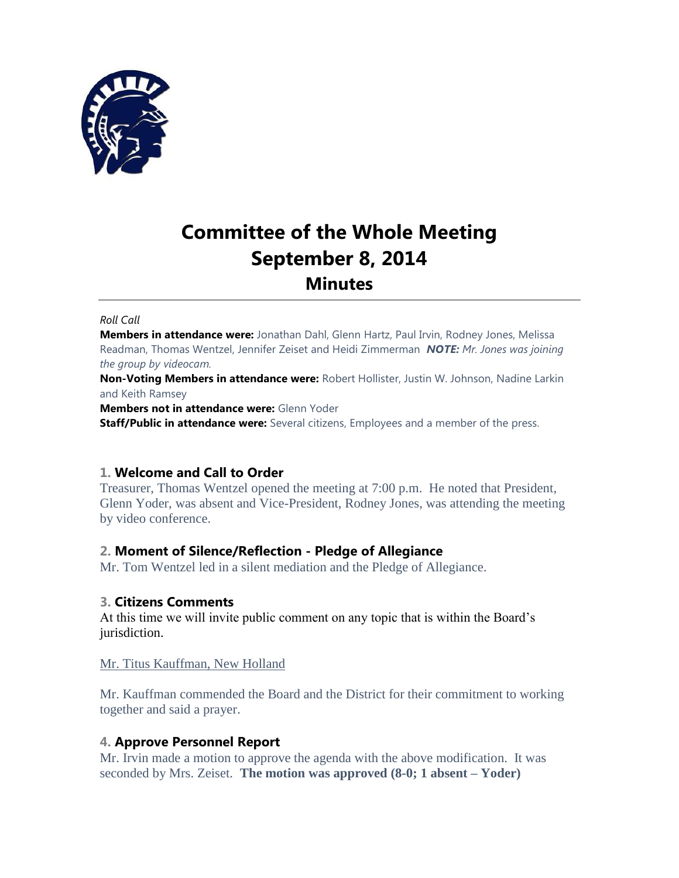

# **Committee of the Whole Meeting September 8, 2014 Minutes**

#### *Roll Call*

**Members in attendance were:** Jonathan Dahl, Glenn Hartz, Paul Irvin, Rodney Jones, Melissa Readman, Thomas Wentzel, Jennifer Zeiset and Heidi Zimmerman *NOTE: Mr. Jones was joining the group by videocam.*

**Non-Voting Members in attendance were:** Robert Hollister, Justin W. Johnson, Nadine Larkin and Keith Ramsey

**Members not in attendance were:** Glenn Yoder

**Staff/Public in attendance were:** Several citizens, Employees and a member of the press.

#### **1. Welcome and Call to Order**

Treasurer, Thomas Wentzel opened the meeting at 7:00 p.m. He noted that President, Glenn Yoder, was absent and Vice-President, Rodney Jones, was attending the meeting by video conference.

## **2. Moment of Silence/Reflection - Pledge of Allegiance**

Mr. Tom Wentzel led in a silent mediation and the Pledge of Allegiance.

#### **3. Citizens Comments**

At this time we will invite public comment on any topic that is within the Board's jurisdiction.

Mr. Titus Kauffman, New Holland

Mr. Kauffman commended the Board and the District for their commitment to working together and said a prayer.

## **4. Approve Personnel Report**

Mr. Irvin made a motion to approve the agenda with the above modification. It was seconded by Mrs. Zeiset. **The motion was approved (8-0; 1 absent – Yoder)**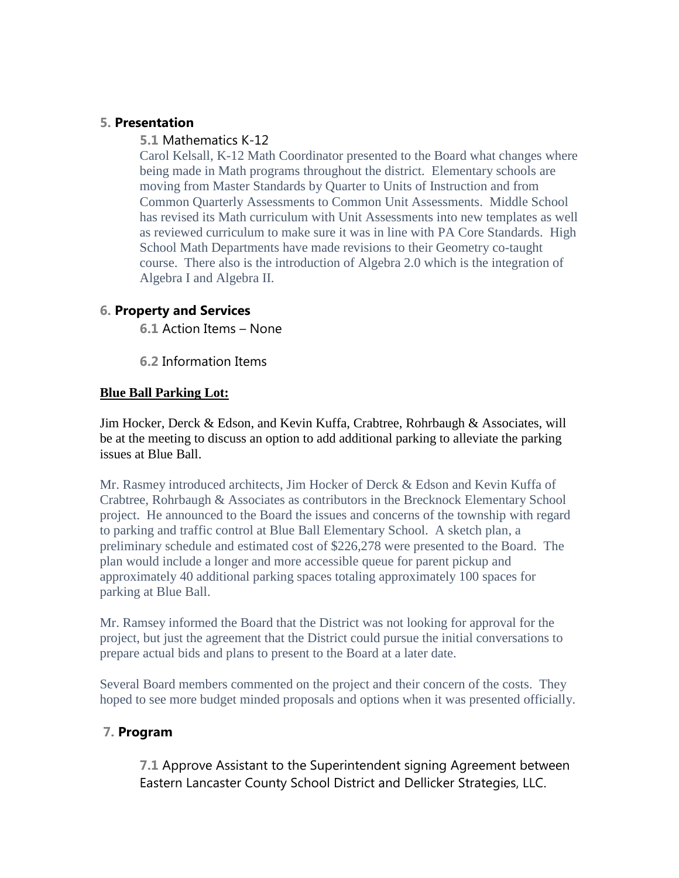### **5. Presentation**

#### **5.1** Mathematics K-12

Carol Kelsall, K-12 Math Coordinator presented to the Board what changes where being made in Math programs throughout the district. Elementary schools are moving from Master Standards by Quarter to Units of Instruction and from Common Quarterly Assessments to Common Unit Assessments. Middle School has revised its Math curriculum with Unit Assessments into new templates as well as reviewed curriculum to make sure it was in line with PA Core Standards. High School Math Departments have made revisions to their Geometry co-taught course. There also is the introduction of Algebra 2.0 which is the integration of Algebra I and Algebra II.

#### **6. Property and Services**

**6.1** Action Items – None

**6.2** Information Items

#### **Blue Ball Parking Lot:**

Jim Hocker, Derck & Edson, and Kevin Kuffa, Crabtree, Rohrbaugh & Associates, will be at the meeting to discuss an option to add additional parking to alleviate the parking issues at Blue Ball.

Mr. Rasmey introduced architects, Jim Hocker of Derck & Edson and Kevin Kuffa of Crabtree, Rohrbaugh & Associates as contributors in the Brecknock Elementary School project. He announced to the Board the issues and concerns of the township with regard to parking and traffic control at Blue Ball Elementary School. A sketch plan, a preliminary schedule and estimated cost of \$226,278 were presented to the Board. The plan would include a longer and more accessible queue for parent pickup and approximately 40 additional parking spaces totaling approximately 100 spaces for parking at Blue Ball.

Mr. Ramsey informed the Board that the District was not looking for approval for the project, but just the agreement that the District could pursue the initial conversations to prepare actual bids and plans to present to the Board at a later date.

Several Board members commented on the project and their concern of the costs. They hoped to see more budget minded proposals and options when it was presented officially.

## **7. Program**

**7.1** Approve Assistant to the Superintendent signing Agreement between Eastern Lancaster County School District and Dellicker Strategies, LLC.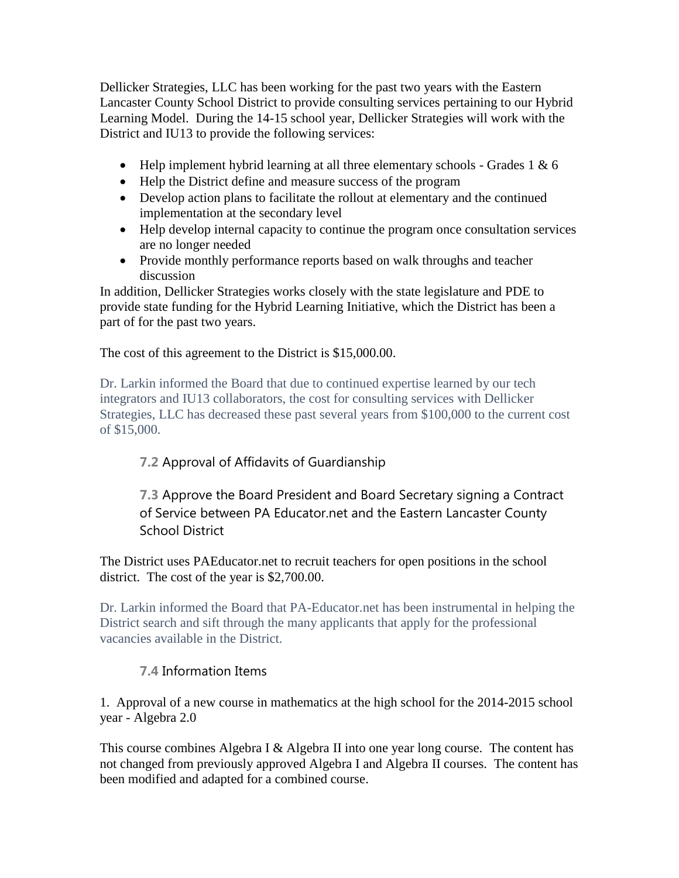Dellicker Strategies, LLC has been working for the past two years with the Eastern Lancaster County School District to provide consulting services pertaining to our Hybrid Learning Model. During the 14-15 school year, Dellicker Strategies will work with the District and IU13 to provide the following services:

- Help implement hybrid learning at all three elementary schools Grades  $1 \& 6$
- Help the District define and measure success of the program
- Develop action plans to facilitate the rollout at elementary and the continued implementation at the secondary level
- Help develop internal capacity to continue the program once consultation services are no longer needed
- Provide monthly performance reports based on walk throughs and teacher discussion

In addition, Dellicker Strategies works closely with the state legislature and PDE to provide state funding for the Hybrid Learning Initiative, which the District has been a part of for the past two years.

The cost of this agreement to the District is \$15,000.00.

Dr. Larkin informed the Board that due to continued expertise learned by our tech integrators and IU13 collaborators, the cost for consulting services with Dellicker Strategies, LLC has decreased these past several years from \$100,000 to the current cost of \$15,000.

# **7.2** Approval of Affidavits of Guardianship

**7.3** Approve the Board President and Board Secretary signing a Contract of Service between PA Educator.net and the Eastern Lancaster County School District

The District uses PAEducator.net to recruit teachers for open positions in the school district. The cost of the year is \$2,700.00.

Dr. Larkin informed the Board that PA-Educator.net has been instrumental in helping the District search and sift through the many applicants that apply for the professional vacancies available in the District.

# **7.4** Information Items

1. Approval of a new course in mathematics at the high school for the 2014-2015 school year - Algebra 2.0

This course combines Algebra I & Algebra II into one year long course. The content has not changed from previously approved Algebra I and Algebra II courses. The content has been modified and adapted for a combined course.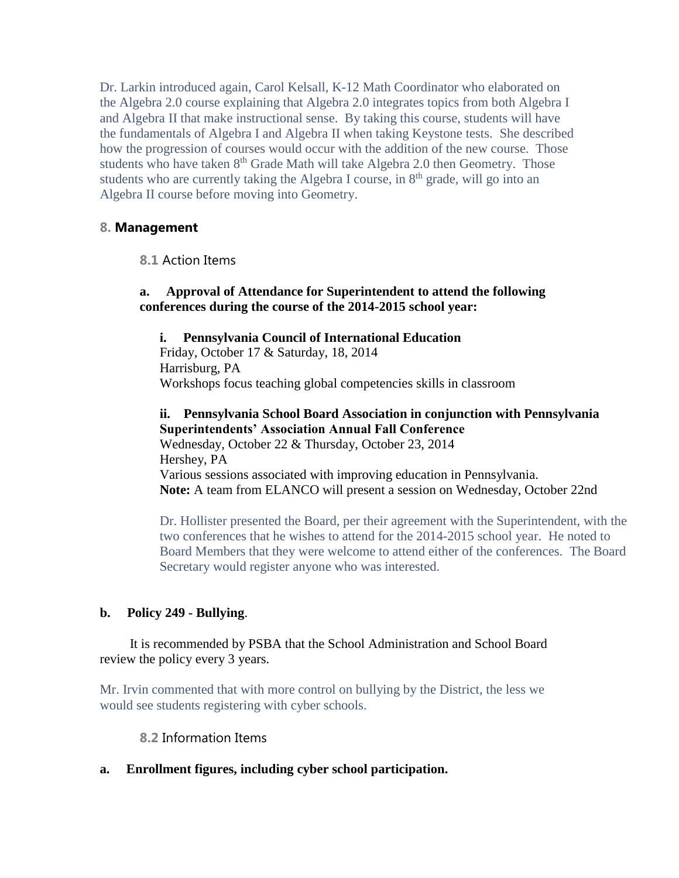Dr. Larkin introduced again, Carol Kelsall, K-12 Math Coordinator who elaborated on the Algebra 2.0 course explaining that Algebra 2.0 integrates topics from both Algebra I and Algebra II that make instructional sense. By taking this course, students will have the fundamentals of Algebra I and Algebra II when taking Keystone tests. She described how the progression of courses would occur with the addition of the new course. Those students who have taken 8<sup>th</sup> Grade Math will take Algebra 2.0 then Geometry. Those students who are currently taking the Algebra I course, in  $8<sup>th</sup>$  grade, will go into an Algebra II course before moving into Geometry.

## **8. Management**

**8.1** Action Items

### **a. Approval of Attendance for Superintendent to attend the following conferences during the course of the 2014-2015 school year:**

**i. Pennsylvania Council of International Education**

Friday, October 17 & Saturday, 18, 2014 Harrisburg, PA Workshops focus teaching global competencies skills in classroom

**ii. Pennsylvania School Board Association in conjunction with Pennsylvania Superintendents' Association Annual Fall Conference** Wednesday, October 22 & Thursday, October 23, 2014 Hershey, PA Various sessions associated with improving education in Pennsylvania. **Note:** A team from ELANCO will present a session on Wednesday, October 22nd

Dr. Hollister presented the Board, per their agreement with the Superintendent, with the two conferences that he wishes to attend for the 2014-2015 school year. He noted to Board Members that they were welcome to attend either of the conferences. The Board Secretary would register anyone who was interested.

# **b. Policy 249 - Bullying**.

 It is recommended by PSBA that the School Administration and School Board review the policy every 3 years.

Mr. Irvin commented that with more control on bullying by the District, the less we would see students registering with cyber schools.

# **8.2** Information Items

## **a. Enrollment figures, including cyber school participation.**